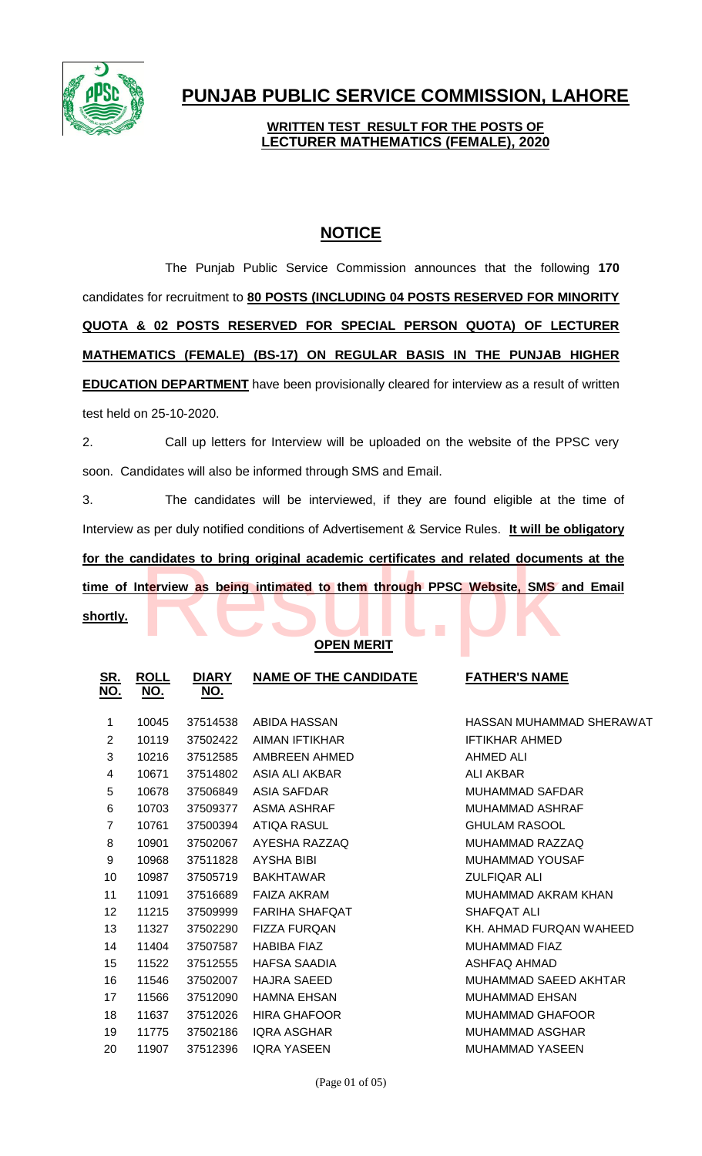

# **PUNJAB PUBLIC SERVICE COMMISSION, LAHORE**

## **WRITTEN TEST RESULT FOR THE POSTS OF LECTURER MATHEMATICS (FEMALE), 2020**

# **NOTICE**

The Punjab Public Service Commission announces that the following **170** candidates for recruitment to **80 POSTS (INCLUDING 04 POSTS RESERVED FOR MINORITY QUOTA & 02 POSTS RESERVED FOR SPECIAL PERSON QUOTA) OF LECTURER MATHEMATICS (FEMALE) (BS-17) ON REGULAR BASIS IN THE PUNJAB HIGHER EDUCATION DEPARTMENT** have been provisionally cleared for interview as a result of written test held on 25-10-2020.

2. Call up letters for Interview will be uploaded on the website of the PPSC very soon. Candidates will also be informed through SMS and Email.

3. The candidates will be interviewed, if they are found eligible at the time of Interview as per duly notified conditions of Advertisement & Service Rules. **It will be obligatory for the candidates to bring original academic certificates and related documents at the time of Interview as being intimated to them through PPSC Website, SMS and Email**  andidates to bring original academic certificates and related documenterview as being intimated to them through PPSC Website, SMS

**shortly.**

### **OPEN MERIT**

| <u>SR.</u><br><u>NO.</u> | <b>ROLL</b><br><u>NO.</u> | <b>DIARY</b><br><u>NO.</u> | <b>NAME OF THE CANDIDATE</b> | <b>FATHER'S NAME</b>     |
|--------------------------|---------------------------|----------------------------|------------------------------|--------------------------|
| 1                        | 10045                     | 37514538                   | ABIDA HASSAN                 | HASSAN MUHAMMAD SHERAWAT |
| 2                        | 10119                     | 37502422                   | AIMAN IFTIKHAR               | <b>IFTIKHAR AHMED</b>    |
| 3                        | 10216                     | 37512585                   | AMBREEN AHMED                | <b>AHMED ALI</b>         |
| 4                        | 10671                     | 37514802                   | ASIA ALI AKBAR               | <b>ALI AKBAR</b>         |
| 5                        | 10678                     | 37506849                   | ASIA SAFDAR                  | <b>MUHAMMAD SAFDAR</b>   |
| 6                        | 10703                     | 37509377                   | ASMA ASHRAF                  | <b>MUHAMMAD ASHRAF</b>   |
| $\overline{7}$           | 10761                     | 37500394                   | ATIQA RASUL                  | <b>GHULAM RASOOL</b>     |
| 8                        | 10901                     | 37502067                   | AYESHA RAZZAQ                | MUHAMMAD RAZZAQ          |
| 9                        | 10968                     | 37511828                   | <b>AYSHA BIBI</b>            | <b>MUHAMMAD YOUSAF</b>   |
| 10                       | 10987                     | 37505719                   | <b>BAKHTAWAR</b>             | <b>ZULFIQAR ALI</b>      |
| 11                       | 11091                     | 37516689                   | <b>FAIZA AKRAM</b>           | MUHAMMAD AKRAM KHAN      |
| 12                       | 11215                     | 37509999                   | <b>FARIHA SHAFOAT</b>        | SHAFQAT ALI              |
| 13                       | 11327                     | 37502290                   | <b>FIZZA FURQAN</b>          | KH. AHMAD FURQAN WAHEED  |
| 14                       | 11404                     | 37507587                   | <b>HABIBA FIAZ</b>           | <b>MUHAMMAD FIAZ</b>     |
| 15                       | 11522                     | 37512555                   | <b>HAFSA SAADIA</b>          | ASHFAQ AHMAD             |
| 16                       | 11546                     | 37502007                   | HAJRA SAEED                  | MUHAMMAD SAEED AKHTAR    |
| 17                       | 11566                     | 37512090                   | <b>HAMNA EHSAN</b>           | <b>MUHAMMAD EHSAN</b>    |
| 18                       | 11637                     | 37512026                   | <b>HIRA GHAFOOR</b>          | <b>MUHAMMAD GHAFOOR</b>  |
| 19                       | 11775                     | 37502186                   | <b>IQRA ASGHAR</b>           | <b>MUHAMMAD ASGHAR</b>   |
| 20                       | 11907                     | 37512396                   | <b>IQRA YASEEN</b>           | <b>MUHAMMAD YASEEN</b>   |
|                          |                           |                            |                              |                          |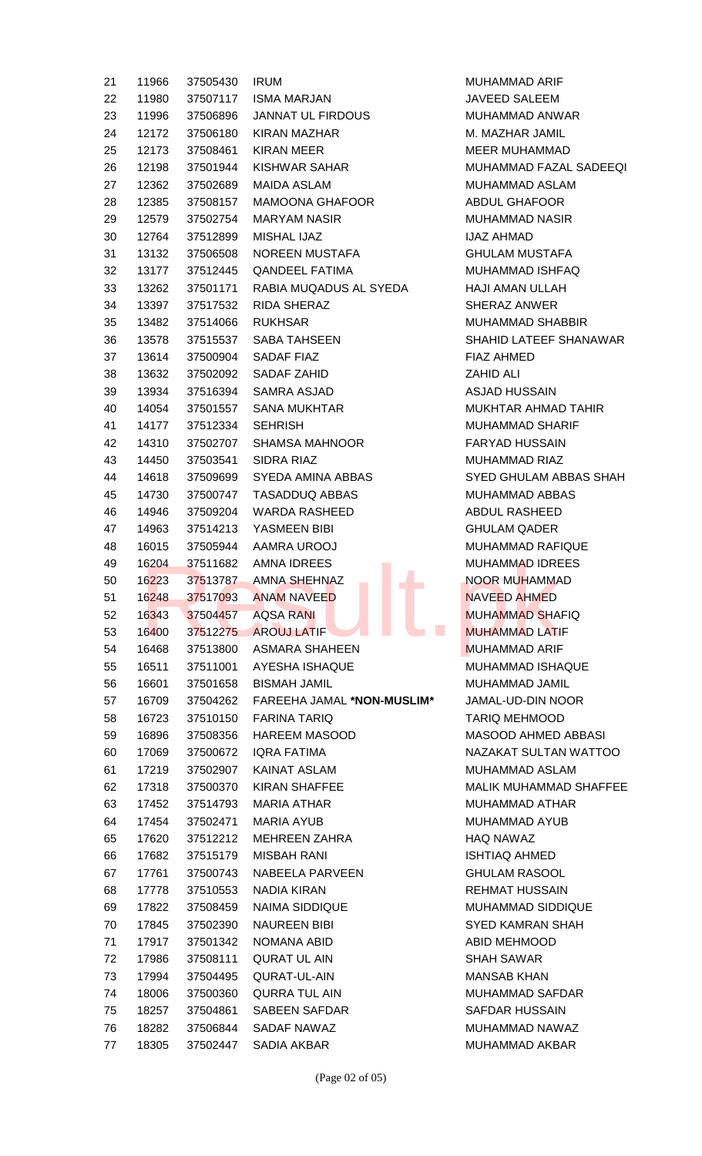| 21 | 11966 | 37505430 | <b>IRUM</b>                | <b>MUHAMMAD ARIF</b>   |
|----|-------|----------|----------------------------|------------------------|
| 22 | 11980 | 37507117 | <b>ISMA MARJAN</b>         | JAVEED SALEEM          |
| 23 | 11996 | 37506896 | <b>JANNAT UL FIRDOUS</b>   | <b>MUHAMMAD ANW</b>    |
| 24 | 12172 | 37506180 | KIRAN MAZHAR               | M. MAZHAR JAMI         |
| 25 | 12173 | 37508461 | <b>KIRAN MEER</b>          | <b>MEER MUHAMMA</b>    |
| 26 | 12198 | 37501944 | KISHWAR SAHAR              | MUHAMMAD FAZ           |
| 27 | 12362 | 37502689 | <b>MAIDA ASLAM</b>         | MUHAMMAD ASL           |
| 28 | 12385 | 37508157 | <b>MAMOONA GHAFOOR</b>     | <b>ABDUL GHAFOOF</b>   |
| 29 | 12579 | 37502754 | <b>MARYAM NASIR</b>        | <b>MUHAMMAD NAS</b>    |
| 30 | 12764 | 37512899 | <b>MISHAL IJAZ</b>         | <b>IJAZ AHMAD</b>      |
| 31 | 13132 | 37506508 | NOREEN MUSTAFA             | <b>GHULAM MUSTAR</b>   |
| 32 | 13177 | 37512445 | <b>QANDEEL FATIMA</b>      | <b>MUHAMMAD ISHF</b>   |
| 33 | 13262 | 37501171 | RABIA MUQADUS AL SYEDA     | <b>HAJI AMAN ULLAI</b> |
| 34 | 13397 | 37517532 | RIDA SHERAZ                | SHERAZ ANWER           |
| 35 | 13482 | 37514066 | <b>RUKHSAR</b>             | <b>MUHAMMAD SHA</b>    |
| 36 | 13578 | 37515537 | SABA TAHSEEN               | <b>SHAHID LATEEF \</b> |
| 37 | 13614 | 37500904 | SADAF FIAZ                 | FIAZ AHMED             |
| 38 | 13632 | 37502092 | SADAF ZAHID                | <b>ZAHID ALI</b>       |
| 39 | 13934 | 37516394 | SAMRA ASJAD                | <b>ASJAD HUSSAIN</b>   |
| 40 | 14054 | 37501557 | <b>SANA MUKHTAR</b>        | <b>MUKHTAR AHMAI</b>   |
| 41 | 14177 | 37512334 | <b>SEHRISH</b>             | <b>MUHAMMAD SHA</b>    |
| 42 | 14310 | 37502707 | <b>SHAMSA MAHNOOR</b>      | <b>FARYAD HUSSAII</b>  |
| 43 | 14450 | 37503541 | SIDRA RIAZ                 | <b>MUHAMMAD RIAZ</b>   |
| 44 | 14618 | 37509699 | SYEDA AMINA ABBAS          | <b>SYED GHULAM A</b>   |
| 45 | 14730 | 37500747 | <b>TASADDUQ ABBAS</b>      | <b>MUHAMMAD ABB</b>    |
| 46 | 14946 | 37509204 | <b>WARDA RASHEED</b>       | ABDUL RASHEED          |
| 47 | 14963 | 37514213 | YASMEEN BIBI               | <b>GHULAM QADER</b>    |
| 48 | 16015 | 37505944 | AAMRA UROOJ                | <b>MUHAMMAD RAF</b>    |
| 49 | 16204 | 37511682 | AMNA IDREES                | <b>MUHAMMAD IDRE</b>   |
| 50 | 16223 | 37513787 | AMNA SHEHNAZ               | <b>NOOR MUHAMMA</b>    |
| 51 | 16248 | 37517093 | <b>ANAM NAVEED</b>         | NAVEED AHMED           |
| 52 | 16343 | 37504457 | <b>AQSA RANI</b>           | <b>MUHAMMAD SHA</b>    |
| 53 | 16400 | 37512275 | M.<br><b>AROUJ LATIF</b>   | <b>MUHAMMAD LATI</b>   |
| 54 | 16468 | 37513800 | <b>ASMARA SHAHEEN</b>      | <b>MUHAMMAD ARIF</b>   |
| 55 | 16511 | 37511001 | AYESHA ISHAQUE             | <b>MUHAMMAD ISHA</b>   |
| 56 | 16601 | 37501658 | <b>BISMAH JAMIL</b>        | MUHAMMAD JAM           |
| 57 | 16709 | 37504262 | FAREEHA JAMAL *NON-MUSLIM* | JAMAL-UD-DIN NO        |
| 58 | 16723 | 37510150 | <b>FARINA TARIQ</b>        | <b>TARIQ MEHMOOD</b>   |
| 59 | 16896 | 37508356 | <b>HAREEM MASOOD</b>       | <b>MASOOD AHMED</b>    |
| 60 | 17069 | 37500672 | <b>IQRA FATIMA</b>         | <b>NAZAKAT SULTAI</b>  |
| 61 | 17219 | 37502907 | <b>KAINAT ASLAM</b>        | MUHAMMAD ASL           |
| 62 | 17318 | 37500370 | <b>KIRAN SHAFFEE</b>       | <b>MALIK MUHAMMA</b>   |
| 63 | 17452 | 37514793 | <b>MARIA ATHAR</b>         | <b>MUHAMMAD ATH</b>    |
| 64 | 17454 | 37502471 | <b>MARIA AYUB</b>          | MUHAMMAD AYU           |
| 65 | 17620 | 37512212 | <b>MEHREEN ZAHRA</b>       | <b>HAQ NAWAZ</b>       |
| 66 | 17682 | 37515179 | <b>MISBAH RANI</b>         | <b>ISHTIAQ AHMED</b>   |
| 67 | 17761 | 37500743 | NABEELA PARVEEN            | <b>GHULAM RASOOI</b>   |
| 68 | 17778 | 37510553 | NADIA KIRAN                | <b>REHMAT HUSSAI</b>   |
| 69 | 17822 | 37508459 | <b>NAIMA SIDDIQUE</b>      | <b>MUHAMMAD SIDE</b>   |
| 70 | 17845 | 37502390 | <b>NAUREEN BIBI</b>        | <b>SYED KAMRAN S</b>   |
| 71 | 17917 | 37501342 | NOMANA ABID                | ABID MEHMOOD           |
| 72 | 17986 | 37508111 | <b>QURAT UL AIN</b>        | <b>SHAH SAWAR</b>      |
| 73 | 17994 | 37504495 | QURAT-UL-AIN               | <b>MANSAB KHAN</b>     |
| 74 | 18006 | 37500360 | <b>QURRA TUL AIN</b>       | <b>MUHAMMAD SAF</b>    |
| 75 | 18257 | 37504861 | <b>SABEEN SAFDAR</b>       | <b>SAFDAR HUSSAII</b>  |
| 76 | 18282 | 37506844 | SADAF NAWAZ                | <b>MUHAMMAD NAW</b>    |
| 77 | 18305 | 37502447 | SADIA AKBAR                | MUHAMMAD AKB           |

MUHAMMAD ARIF JAVEED SALEEM MUHAMMAD ANWAR M. MAZHAR JAMIL MEER MUHAMMAD MUHAMMAD FAZAL SADEEQI MUHAMMAD ASLAM ABDUL GHAFOOR MUHAMMAD NASIR **IJAZ AHMAD GHULAM MUSTAFA** MUHAMMAD ISHFAQ HAJI AMAN ULLAH **SHERAZ ANWER** MUHAMMAD SHABBIR SHAHID LATEEF SHANAWAR FIAZ AHMED ZAHID ALI ASJAD HUSSAIN MUKHTAR AHMAD TAHIR MUHAMMAD SHARIF FARYAD HUSSAIN MUHAMMAD RIAZ SYED GHULAM ABBAS SHAH MUHAMMAD ABBAS ABDUL RASHEED **GHULAM QADER** MUHAMMAD RAFIQUE MUHAMMAD IDREES NOOR MUHAMMAD **NAVEED AHMED** MUHAMMAD SHAFIQ **53 MUHAMMAD LATIF** MUHAMMAD ARIF MUHAMMAD ISHAQUE MUHAMMAD JAMIL 57 16709 37504262 FAREEHA JAMAL **\*NON-MUSLIM\*** JAMAL-UD-DIN NOOR TARIQ MEHMOOD MASOOD AHMED ABBASI NAZAKAT SULTAN WATTOO MUHAMMAD ASLAM **MALIK MUHAMMAD SHAFFEE** MUHAMMAD ATHAR MUHAMMAD AYUB HAQ NAWAZ **ISHTIAQ AHMED GHULAM RASOOL** REHMAT HUSSAIN MUHAMMAD SIDDIQUE **SYED KAMRAN SHAH** ABID MEHMOOD SHAH SAWAR **MANSAB KHAN** MUHAMMAD SAFDAR SAFDAR HUSSAIN MUHAMMAD NAWAZ MUHAMMAD AKBAR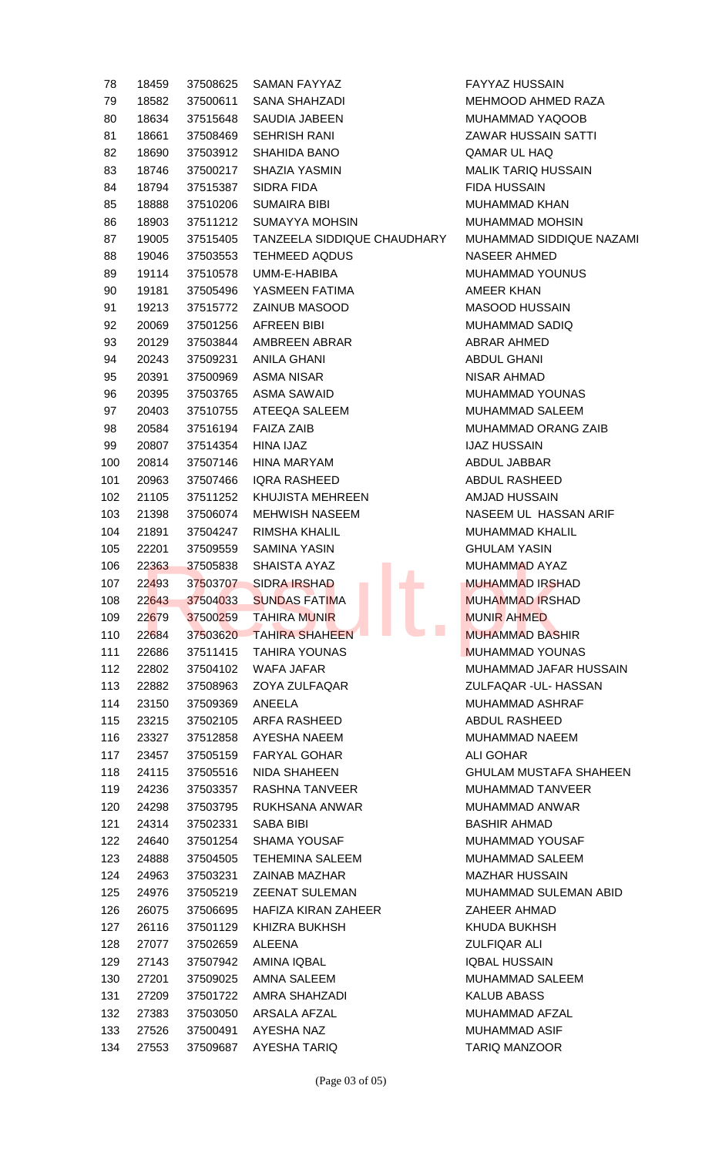| 78  | 18459 | 37508625 | <b>SAMAN FAYYAZ</b>                                    | <b>FAYYAZ HUSSAIN</b>  |
|-----|-------|----------|--------------------------------------------------------|------------------------|
| 79  | 18582 | 37500611 | <b>SANA SHAHZADI</b>                                   | <b>MEHMOOD AHME</b>    |
| 80  | 18634 | 37515648 | SAUDIA JABEEN                                          | <b>MUHAMMAD YAQ</b>    |
| 81  | 18661 | 37508469 | <b>SEHRISH RANI</b>                                    | <b>ZAWAR HUSSAIN</b>   |
| 82  | 18690 | 37503912 | SHAHIDA BANO                                           | QAMAR UL HAQ           |
| 83  | 18746 | 37500217 | SHAZIA YASMIN                                          | <b>MALIK TARIQ HUS</b> |
| 84  | 18794 | 37515387 | SIDRA FIDA                                             | <b>FIDA HUSSAIN</b>    |
| 85  | 18888 | 37510206 | <b>SUMAIRA BIBI</b>                                    | MUHAMMAD KHA           |
| 86  | 18903 | 37511212 | <b>SUMAYYA MOHSIN</b>                                  | <b>MUHAMMAD MOH</b>    |
| 87  | 19005 | 37515405 | TANZEELA SIDDIQUE CHAUDHARY                            | <b>MUHAMMAD SIDE</b>   |
| 88  | 19046 | 37503553 | <b>TEHMEED AQDUS</b>                                   | NASEER AHMED           |
| 89  | 19114 | 37510578 | UMM-E-HABIBA                                           | MUHAMMAD YOU           |
| 90  | 19181 | 37505496 | YASMEEN FATIMA                                         | AMEER KHAN             |
| 91  | 19213 | 37515772 | <b>ZAINUB MASOOD</b>                                   | <b>MASOOD HUSSA</b>    |
| 92  | 20069 | 37501256 | <b>AFREEN BIBI</b>                                     | <b>MUHAMMAD SAD</b>    |
| 93  | 20129 | 37503844 | AMBREEN ABRAR                                          | <b>ABRAR AHMED</b>     |
| 94  | 20243 | 37509231 | <b>ANILA GHANI</b>                                     | ABDUL GHANI            |
| 95  | 20391 | 37500969 | <b>ASMA NISAR</b>                                      | <b>NISAR AHMAD</b>     |
| 96  | 20395 | 37503765 | <b>ASMA SAWAID</b>                                     | <b>MUHAMMAD YOU</b>    |
| 97  | 20403 | 37510755 | ATEEQA SALEEM                                          | <b>MUHAMMAD SAL</b>    |
| 98  | 20584 | 37516194 | <b>FAIZA ZAIB</b>                                      | <b>MUHAMMAD ORA</b>    |
| 99  | 20807 | 37514354 | <b>HINA IJAZ</b>                                       | <b>IJAZ HUSSAIN</b>    |
| 100 | 20814 | 37507146 | <b>HINA MARYAM</b>                                     | ABDUL JABBAR           |
| 101 | 20963 | 37507466 | <b>IQRA RASHEED</b>                                    | ABDUL RASHEED          |
| 102 | 21105 | 37511252 | <b>KHUJISTA MEHREEN</b>                                | AMJAD HUSSAIN          |
| 103 | 21398 | 37506074 | <b>MEHWISH NASEEM</b>                                  | NASEEM UL HAS          |
| 104 | 21891 | 37504247 | <b>RIMSHA KHALIL</b>                                   | <b>MUHAMMAD KHA</b>    |
| 105 | 22201 | 37509559 | <b>SAMINA YASIN</b>                                    | <b>GHULAM YASIN</b>    |
| 106 | 22363 | 37505838 | SHAISTA AYAZ                                           | MUHAMMAD AYA           |
| 107 | 22493 | 37503707 | <b>SIDRA IRSHAD</b>                                    | <b>MUHAMMAD IRSH</b>   |
| 108 | 22643 | 37504033 | <b>SUNDAS FATIMA</b>                                   | <b>MUHAMMAD IRSH</b>   |
| 109 | 22679 | 37500259 | <b>TAHIRA MUNIR</b>                                    | <b>MUNIR AHMED</b>     |
| 110 | 22684 |          | $\mathcal{L}_{\mathcal{A}}$<br>37503620 TAHIRA SHAHEEN | <b>MUHAMMAD BAS</b>    |
| 111 | 22686 | 37511415 | <b>TAHIRA YOUNAS</b>                                   | <b>MUHAMMAD YOU</b>    |
| 112 | 22802 | 37504102 | <b>WAFA JAFAR</b>                                      | <b>MUHAMMAD JAF</b>    |
| 113 | 22882 | 37508963 | ZOYA ZULFAQAR                                          | ZULFAQAR - UL- H       |
| 114 | 23150 | 37509369 | ANEELA                                                 | <b>MUHAMMAD ASH</b>    |
| 115 | 23215 | 37502105 | ARFA RASHEED                                           | ABDUL RASHEED          |
| 116 | 23327 | 37512858 | AYESHA NAEEM                                           | <b>MUHAMMAD NAE</b>    |
| 117 | 23457 | 37505159 | <b>FARYAL GOHAR</b>                                    | <b>ALI GOHAR</b>       |
| 118 | 24115 | 37505516 | <b>NIDA SHAHEEN</b>                                    | <b>GHULAM MUSTAR</b>   |
| 119 | 24236 | 37503357 | RASHNA TANVEER                                         | <b>MUHAMMAD TAN</b>    |
| 120 | 24298 | 37503795 | RUKHSANA ANWAR                                         | <b>MUHAMMAD ANW</b>    |
| 121 | 24314 | 37502331 | <b>SABA BIBI</b>                                       | <b>BASHIR AHMAD</b>    |
| 122 | 24640 | 37501254 | <b>SHAMA YOUSAF</b>                                    | <b>MUHAMMAD YOU</b>    |
| 123 | 24888 | 37504505 | <b>TEHEMINA SALEEM</b>                                 | <b>MUHAMMAD SAL</b>    |
| 124 | 24963 | 37503231 | ZAINAB MAZHAR                                          | <b>MAZHAR HUSSAI</b>   |
| 125 | 24976 | 37505219 | <b>ZEENAT SULEMAN</b>                                  | <b>MUHAMMAD SUL</b>    |
| 126 | 26075 | 37506695 | HAFIZA KIRAN ZAHEER                                    | ZAHEER AHMAD           |
| 127 | 26116 | 37501129 | <b>KHIZRA BUKHSH</b>                                   | KHUDA BUKHSH           |
| 128 | 27077 | 37502659 | <b>ALEENA</b>                                          | <b>ZULFIQAR ALI</b>    |
| 129 | 27143 | 37507942 | AMINA IQBAL                                            | <b>IQBAL HUSSAIN</b>   |
| 130 | 27201 | 37509025 | AMNA SALEEM                                            | <b>MUHAMMAD SALI</b>   |
| 131 | 27209 | 37501722 | AMRA SHAHZADI                                          | <b>KALUB ABASS</b>     |
| 132 | 27383 | 37503050 | ARSALA AFZAL                                           | MUHAMMAD AFZ           |
| 133 | 27526 | 37500491 | AYESHA NAZ                                             | <b>MUHAMMAD ASIF</b>   |
|     |       |          | 134 27553 37509687 AYESHA TARIQ                        | <b>TARIO MANZOOR</b>   |

FAYYAZ HUSSAIN MEHMOOD AHMED RAZA MUHAMMAD YAQOOB ZAWAR HUSSAIN SATTI QAMAR UL HAQ **MALIK TARIQ HUSSAIN** FIDA HUSSAIN MUHAMMAD KHAN MUHAMMAD MOHSIN MUHAMMAD SIDDIQUE NAZAMI NASEER AHMED MUHAMMAD YOUNUS AMEER KHAN MASOOD HUSSAIN MUHAMMAD SADIQ ABRAR AHMED **ABDUL GHANI** NISAR AHMAD MUHAMMAD YOUNAS MUHAMMAD SALEEM MUHAMMAD ORANG ZAIB **IJAZ HUSSAIN** ABDUL JABBAR ABDUL RASHEED AMJAD HUSSAIN NASEEM UL HASSAN ARIF MUHAMMAD KHALIL **GHULAM YASIN** MUHAMMAD AYAZ **MUHAMMAD IRSHAD** MUHAMMAD IRSHAD **MUNIR AHMED** MUHAMMAD BASHIR MUHAMMAD YOUNAS MUHAMMAD JAFAR HUSSAIN ZULFAQAR -UL- HASSAN MUHAMMAD ASHRAF ABDUL RASHEED MUHAMMAD NAEEM **ALI GOHAR GHULAM MUSTAFA SHAHEEN** MUHAMMAD TANVEER MUHAMMAD ANWAR BASHIR AHMAD MUHAMMAD YOUSAF MUHAMMAD SALEEM **MAZHAR HUSSAIN** MUHAMMAD SULEMAN ABID ZAHEER AHMAD KHUDA BUKHSH **ZULFIQAR ALI** IQBAL HUSSAIN MUHAMMAD SALEEM KALUB ABASS MUHAMMAD AFZAL MUHAMMAD ASIF TARIQ MANZOOR